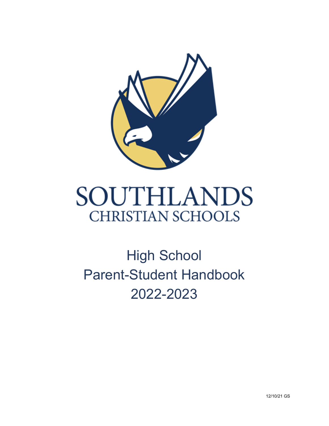

# SOUTHLANDS **CHRISTIAN SCHOOLS**

# High School Parent-Student Handbook 2022-2023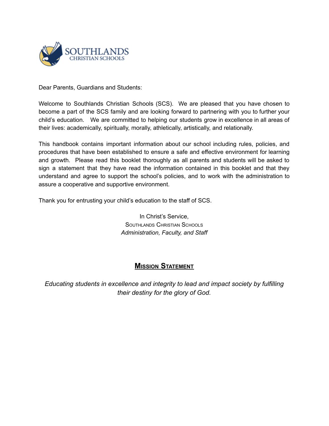

Dear Parents, Guardians and Students:

Welcome to Southlands Christian Schools (SCS). We are pleased that you have chosen to become a part of the SCS family and are looking forward to partnering with you to further your child's education. We are committed to helping our students grow in excellence in all areas of their lives: academically, spiritually, morally, athletically, artistically, and relationally.

This handbook contains important information about our school including rules, policies, and procedures that have been established to ensure a safe and effective environment for learning and growth. Please read this booklet thoroughly as all parents and students will be asked to sign a statement that they have read the information contained in this booklet and that they understand and agree to support the school's policies, and to work with the administration to assure a cooperative and supportive environment.

Thank you for entrusting your child's education to the staff of SCS.

In Christ's Service, SOUTHLANDS CHRISTIAN SCHOOLS *Administration, Faculty, and Staff*

## **MISSION STATEMENT**

*Educating students in excellence and integrity to lead and impact society by fulfilling their destiny for the glory of God.*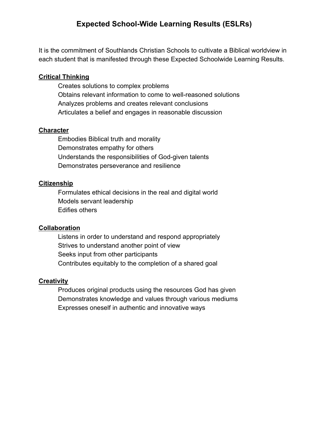# **Expected School-Wide Learning Results (ESLRs)**

It is the commitment of Southlands Christian Schools to cultivate a Biblical worldview in each student that is manifested through these Expected Schoolwide Learning Results.

## **Critical Thinking**

Creates solutions to complex problems Obtains relevant information to come to well-reasoned solutions Analyzes problems and creates relevant conclusions Articulates a belief and engages in reasonable discussion

## **Character**

Embodies Biblical truth and morality Demonstrates empathy for others Understands the responsibilities of God-given talents Demonstrates perseverance and resilience

## **Citizenship**

Formulates ethical decisions in the real and digital world Models servant leadership Edifies others

## **Collaboration**

Listens in order to understand and respond appropriately Strives to understand another point of view Seeks input from other participants Contributes equitably to the completion of a shared goal

## **Creativity**

Produces original products using the resources God has given Demonstrates knowledge and values through various mediums Expresses oneself in authentic and innovative ways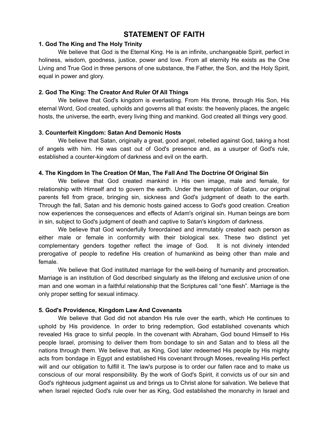## **STATEMENT OF FAITH**

#### **1. God The King and The Holy Trinity**

We believe that God is the Eternal King. He is an infinite, unchangeable Spirit, perfect in holiness, wisdom, goodness, justice, power and love. From all eternity He exists as the One Living and True God in three persons of one substance, the Father, the Son, and the Holy Spirit, equal in power and glory.

#### **2. God The King: The Creator And Ruler Of All Things**

We believe that God's kingdom is everlasting. From His throne, through His Son, His eternal Word, God created, upholds and governs all that exists: the heavenly places, the angelic hosts, the universe, the earth, every living thing and mankind. God created all things very good.

## **3. Counterfeit Kingdom: Satan And Demonic Hosts**

We believe that Satan, originally a great, good angel, rebelled against God, taking a host of angels with him. He was cast out of God's presence and, as a usurper of God's rule, established a counter-kingdom of darkness and evil on the earth.

## **4. The Kingdom In The Creation Of Man, The Fall And The Doctrine Of Original Sin**

We believe that God created mankind in His own image, male and female, for relationship with Himself and to govern the earth. Under the temptation of Satan, our original parents fell from grace, bringing sin, sickness and God's judgment of death to the earth. Through the fall, Satan and his demonic hosts gained access to God's good creation. Creation now experiences the consequences and effects of Adam's original sin. Human beings are born in sin, subject to God's judgment of death and captive to Satan's kingdom of darkness.

We believe that God wonderfully foreordained and immutably created each person as either male or female in conformity with their biological sex. These two distinct yet complementary genders together reflect the image of God. It is not divinely intended prerogative of people to redefine His creation of humankind as being other than male and female.

We believe that God instituted marriage for the well-being of humanity and procreation. Marriage is an institution of God described singularly as the lifelong and exclusive union of one man and one woman in a faithful relationship that the Scriptures call "one flesh". Marriage is the only proper setting for sexual intimacy.

#### **5. God's Providence, Kingdom Law And Covenants**

We believe that God did not abandon His rule over the earth, which He continues to uphold by His providence. In order to bring redemption, God established covenants which revealed His grace to sinful people. In the covenant with Abraham, God bound Himself to His people Israel, promising to deliver them from bondage to sin and Satan and to bless all the nations through them. We believe that, as King, God later redeemed His people by His mighty acts from bondage in Egypt and established His covenant through Moses, revealing His perfect will and our obligation to fulfill it. The law's purpose is to order our fallen race and to make us conscious of our moral responsibility. By the work of God's Spirit, it convicts us of our sin and God's righteous judgment against us and brings us to Christ alone for salvation. We believe that when Israel rejected God's rule over her as King, God established the monarchy in Israel and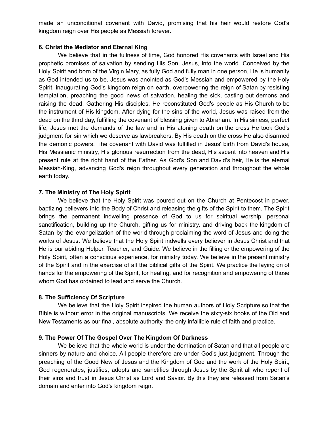made an unconditional covenant with David, promising that his heir would restore God's kingdom reign over His people as Messiah forever.

#### **6. Christ the Mediator and Eternal King**

We believe that in the fullness of time, God honored His covenants with Israel and His prophetic promises of salvation by sending His Son, Jesus, into the world. Conceived by the Holy Spirit and born of the Virgin Mary, as fully God and fully man in one person, He is humanity as God intended us to be. Jesus was anointed as God's Messiah and empowered by the Holy Spirit, inaugurating God's kingdom reign on earth, overpowering the reign of Satan by resisting temptation, preaching the good news of salvation, healing the sick, casting out demons and raising the dead. Gathering His disciples, He reconstituted God's people as His Church to be the instrument of His kingdom. After dying for the sins of the world, Jesus was raised from the dead on the third day, fulfilling the covenant of blessing given to Abraham. In His sinless, perfect life, Jesus met the demands of the law and in His atoning death on the cross He took God's judgment for sin which we deserve as lawbreakers. By His death on the cross He also disarmed the demonic powers. The covenant with David was fulfilled in Jesus' birth from David's house, His Messianic ministry, His glorious resurrection from the dead, His ascent into heaven and His present rule at the right hand of the Father. As God's Son and David's heir, He is the eternal Messiah-King, advancing God's reign throughout every generation and throughout the whole earth today.

## **7. The Ministry of The Holy Spirit**

We believe that the Holy Spirit was poured out on the Church at Pentecost in power, baptizing believers into the Body of Christ and releasing the gifts of the Spirit to them. The Spirit brings the permanent indwelling presence of God to us for spiritual worship, personal sanctification, building up the Church, gifting us for ministry, and driving back the kingdom of Satan by the evangelization of the world through proclaiming the word of Jesus and doing the works of Jesus. We believe that the Holy Spirit indwells every believer in Jesus Christ and that He is our abiding Helper, Teacher, and Guide. We believe in the filling or the empowering of the Holy Spirit, often a conscious experience, for ministry today. We believe in the present ministry of the Spirit and in the exercise of all the biblical gifts of the Spirit. We practice the laying on of hands for the empowering of the Spirit, for healing, and for recognition and empowering of those whom God has ordained to lead and serve the Church.

## **8. The Sufficiency Of Scripture**

We believe that the Holy Spirit inspired the human authors of Holy Scripture so that the Bible is without error in the original manuscripts. We receive the sixty-six books of the Old and New Testaments as our final, absolute authority, the only infallible rule of faith and practice.

## **9. The Power Of The Gospel Over The Kingdom Of Darkness**

We believe that the whole world is under the domination of Satan and that all people are sinners by nature and choice. All people therefore are under God's just judgment. Through the preaching of the Good New of Jesus and the Kingdom of God and the work of the Holy Spirit, God regenerates, justifies, adopts and sanctifies through Jesus by the Spirit all who repent of their sins and trust in Jesus Christ as Lord and Savior. By this they are released from Satan's domain and enter into God's kingdom reign.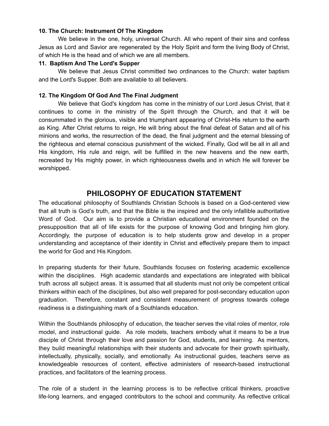## **10. The Church: Instrument Of The Kingdom**

We believe in the one, holy, universal Church. All who repent of their sins and confess Jesus as Lord and Savior are regenerated by the Holy Spirit and form the living Body of Christ, of which He is the head and of which we are all members.

#### **11. Baptism And The Lord's Supper**

We believe that Jesus Christ committed two ordinances to the Church: water baptism and the Lord's Supper. Both are available to all believers.

## **12. The Kingdom Of God And The Final Judgment**

We believe that God's kingdom has come in the ministry of our Lord Jesus Christ, that it continues to come in the ministry of the Spirit through the Church, and that it will be consummated in the glorious, visible and triumphant appearing of Christ-His return to the earth as King. After Christ returns to reign, He will bring about the final defeat of Satan and all of his minions and works, the resurrection of the dead, the final judgment and the eternal blessing of the righteous and eternal conscious punishment of the wicked. Finally, God will be all in all and His kingdom, His rule and reign, will be fulfilled in the new heavens and the new earth, recreated by His mighty power, in which righteousness dwells and in which He will forever be worshipped.

## **PHILOSOPHY OF EDUCATION STATEMENT**

The educational philosophy of Southlands Christian Schools is based on a God-centered view that all truth is God's truth, and that the Bible is the inspired and the only infallible authoritative Word of God. Our aim is to provide a Christian educational environment founded on the presupposition that all of life exists for the purpose of knowing God and bringing him glory. Accordingly, the purpose of education is to help students grow and develop in a proper understanding and acceptance of their identity in Christ and effectively prepare them to impact the world for God and His Kingdom.

In preparing students for their future, Southlands focuses on fostering academic excellence within the disciplines. High academic standards and expectations are integrated with biblical truth across all subject areas. It is assumed that all students must not only be competent critical thinkers within each of the disciplines, but also well prepared for post-secondary education upon graduation. Therefore, constant and consistent measurement of progress towards college readiness is a distinguishing mark of a Southlands education.

Within the Southlands philosophy of education, the teacher serves the vital roles of mentor, role model, and instructional guide. As role models, teachers embody what it means to be a true disciple of Christ through their love and passion for God, students, and learning. As mentors, they build meaningful relationships with their students and advocate for their growth spiritually, intellectually, physically, socially, and emotionally. As instructional guides, teachers serve as knowledgeable resources of content, effective administers of research-based instructional practices, and facilitators of the learning process.

The role of a student in the learning process is to be reflective critical thinkers, proactive life-long learners, and engaged contributors to the school and community. As reflective critical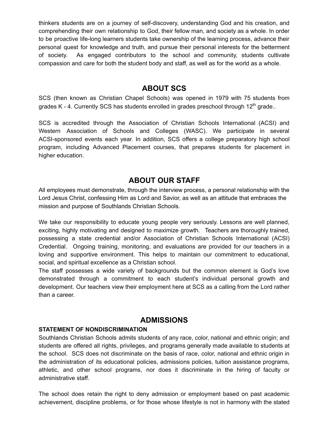thinkers students are on a journey of self-discovery, understanding God and his creation, and comprehending their own relationship to God, their fellow man, and society as a whole. In order to be proactive life-long learners students take ownership of the learning process, advance their personal quest for knowledge and truth, and pursue their personal interests for the betterment of society. As engaged contributors to the school and community, students cultivate compassion and care for both the student body and staff, as well as for the world as a whole.

## **ABOUT SCS**

SCS (then known as Christian Chapel Schools) was opened in 1979 with 75 students from grades K - 4. Currently SCS has students enrolled in grades preschool through 12<sup>th</sup> grade..

SCS is accredited through the Association of Christian Schools International (ACSI) and Western Association of Schools and Colleges (WASC). We participate in several ACSI-sponsored events each year. In addition, SCS offers a college preparatory high school program, including Advanced Placement courses, that prepares students for placement in higher education.

# **ABOUT OUR STAFF**

All employees must demonstrate, through the interview process, a personal relationship with the Lord Jesus Christ, confessing Him as Lord and Savior, as well as an attitude that embraces the mission and purpose of Southlands Christian Schools.

We take our responsibility to educate young people very seriously. Lessons are well planned, exciting, highly motivating and designed to maximize growth. Teachers are thoroughly trained, possessing a state credential and/or Association of Christian Schools International (ACSI) Credential. Ongoing training, monitoring, and evaluations are provided for our teachers in a loving and supportive environment. This helps to maintain our commitment to educational, social, and spiritual excellence as a Christian school.

The staff possesses a wide variety of backgrounds but the common element is God's love demonstrated through a commitment to each student's individual personal growth and development. Our teachers view their employment here at SCS as a calling from the Lord rather than a career.

# **ADMISSIONS**

## **STATEMENT OF NONDISCRIMINATION**

Southlands Christian Schools admits students of any race, color, national and ethnic origin; and students are offered all rights, privileges, and programs generally made available to students at the school. SCS does not discriminate on the basis of race, color, national and ethnic origin in the administration of its educational policies, admissions policies, tuition assistance programs, athletic, and other school programs, nor does it discriminate in the hiring of faculty or administrative staff.

The school does retain the right to deny admission or employment based on past academic achievement, discipline problems, or for those whose lifestyle is not in harmony with the stated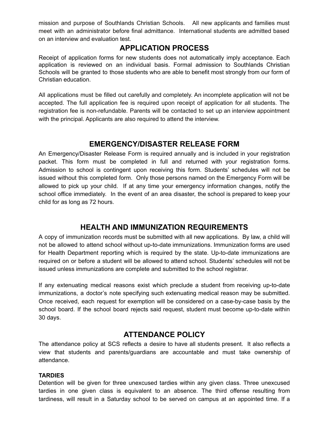mission and purpose of Southlands Christian Schools. All new applicants and families must meet with an administrator before final admittance. International students are admitted based on an interview and evaluation test.

# **APPLICATION PROCESS**

Receipt of application forms for new students does not automatically imply acceptance. Each application is reviewed on an individual basis. Formal admission to Southlands Christian Schools will be granted to those students who are able to benefit most strongly from our form of Christian education.

All applications must be filled out carefully and completely. An incomplete application will not be accepted. The full application fee is required upon receipt of application for all students. The registration fee is non-refundable. Parents will be contacted to set up an interview appointment with the principal. Applicants are also required to attend the interview.

# **EMERGENCY/DISASTER RELEASE FORM**

An Emergency/Disaster Release Form is required annually and is included in your registration packet. This form must be completed in full and returned with your registration forms. Admission to school is contingent upon receiving this form. Students' schedules will not be issued without this completed form. Only those persons named on the Emergency Form will be allowed to pick up your child. If at any time your emergency information changes, notify the school office immediately. In the event of an area disaster, the school is prepared to keep your child for as long as 72 hours.

# **HEALTH AND IMMUNIZATION REQUIREMENTS**

A copy of immunization records must be submitted with all new applications. By law, a child will not be allowed to attend school without up-to-date immunizations. Immunization forms are used for Health Department reporting which is required by the state. Up-to-date immunizations are required on or before a student will be allowed to attend school. Students' schedules will not be issued unless immunizations are complete and submitted to the school registrar.

If any extenuating medical reasons exist which preclude a student from receiving up-to-date immunizations, a doctor's note specifying such extenuating medical reason may be submitted. Once received, each request for exemption will be considered on a case-by-case basis by the school board. If the school board rejects said request, student must become up-to-date within 30 days.

# **ATTENDANCE POLICY**

The attendance policy at SCS reflects a desire to have all students present. It also reflects a view that students and parents/guardians are accountable and must take ownership of attendance.

## **TARDIES**

Detention will be given for three unexcused tardies within any given class. Three unexcused tardies in one given class is equivalent to an absence. The third offense resulting from tardiness, will result in a Saturday school to be served on campus at an appointed time. If a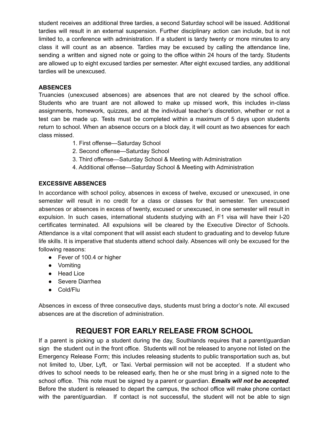student receives an additional three tardies, a second Saturday school will be issued. Additional tardies will result in an external suspension. Further disciplinary action can include, but is not limited to, a conference with administration. If a student is tardy twenty or more minutes to any class it will count as an absence. Tardies may be excused by calling the attendance line, sending a written and signed note or going to the office within 24 hours of the tardy. Students are allowed up to eight excused tardies per semester. After eight excused tardies, any additional tardies will be unexcused.

## **ABSENCES**

Truancies (unexcused absences) are absences that are not cleared by the school office. Students who are truant are not allowed to make up missed work, this includes in-class assignments, homework, quizzes, and at the individual teacher's discretion, whether or not a test can be made up. Tests must be completed within a maximum of 5 days upon students return to school. When an absence occurs on a block day, it will count as two absences for each class missed.

- 1. First offense—Saturday School
- 2. Second offense—Saturday School
- 3. Third offense—Saturday School & Meeting with Administration
- 4. Additional offense—Saturday School & Meeting with Administration

## **EXCESSIVE ABSENCES**

In accordance with school policy, absences in excess of twelve, excused or unexcused, in one semester will result in no credit for a class or classes for that semester. Ten unexcused absences or absences in excess of twenty, excused or unexcused, in one semester will result in expulsion. In such cases, international students studying with an F1 visa will have their I-20 certificates terminated. All expulsions will be cleared by the Executive Director of Schools. Attendance is a vital component that will assist each student to graduating and to develop future life skills. It is imperative that students attend school daily. Absences will only be excused for the following reasons:

- Fever of 100.4 or higher
- Vomiting
- Head Lice
- Severe Diarrhea
- Cold/Flu

Absences in excess of three consecutive days, students must bring a doctor's note. All excused absences are at the discretion of administration.

# **REQUEST FOR EARLY RELEASE FROM SCHOOL**

If a parent is picking up a student during the day, Southlands requires that a parent/guardian sign the student out in the front office. Students will not be released to anyone not listed on the Emergency Release Form; this includes releasing students to public transportation such as, but not limited to, Uber, Lyft, or Taxi. Verbal permission will not be accepted. If a student who drives to school needs to be released early, then he or she must bring in a signed note to the school office. This note must be signed by a parent or guardian. *Emails will not be accepted*. Before the student is released to depart the campus, the school office will make phone contact with the parent/guardian. If contact is not successful, the student will not be able to sign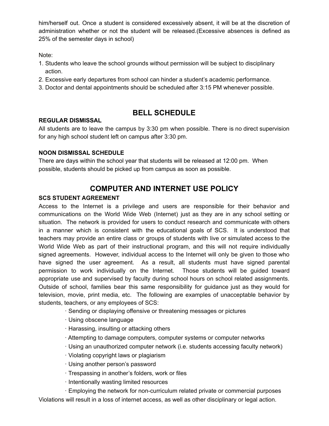him/herself out. Once a student is considered excessively absent, it will be at the discretion of administration whether or not the student will be released.(Excessive absences is defined as 25% of the semester days in school)

Note:

- 1. Students who leave the school grounds without permission will be subject to disciplinary action.
- 2. Excessive early departures from school can hinder a student's academic performance.
- 3. Doctor and dental appointments should be scheduled after 3:15 PM whenever possible.

# **BELL SCHEDULE**

## **REGULAR DISMISSAL**

All students are to leave the campus by 3:30 pm when possible. There is no direct supervision for any high school student left on campus after 3:30 pm.

## **NOON DISMISSAL SCHEDULE**

There are days within the school year that students will be released at 12:00 pm. When possible, students should be picked up from campus as soon as possible.

# **COMPUTER AND INTERNET USE POLICY**

## **SCS STUDENT AGREEMENT**

Access to the Internet is a privilege and users are responsible for their behavior and communications on the World Wide Web (Internet) just as they are in any school setting or situation. The network is provided for users to conduct research and communicate with others in a manner which is consistent with the educational goals of SCS. It is understood that teachers may provide an entire class or groups of students with live or simulated access to the World Wide Web as part of their instructional program, and this will not require individually signed agreements. However, individual access to the Internet will only be given to those who have signed the user agreement. As a result, all students must have signed parental permission to work individually on the Internet. Those students will be guided toward appropriate use and supervised by faculty during school hours on school related assignments. Outside of school, families bear this same responsibility for guidance just as they would for television, movie, print media, etc. The following are examples of unacceptable behavior by students, teachers, or any employees of SCS:

- · Sending or displaying offensive or threatening messages or pictures
- · Using obscene language
- · Harassing, insulting or attacking others
- · Attempting to damage computers, computer systems or computer networks
- · Using an unauthorized computer network (i.e. students accessing faculty network)
- · Violating copyright laws or plagiarism
- · Using another person's password
- · Trespassing in another's folders, work or files
- · Intentionally wasting limited resources

· Employing the network for non-curriculum related private or commercial purposes Violations will result in a loss of internet access, as well as other disciplinary or legal action.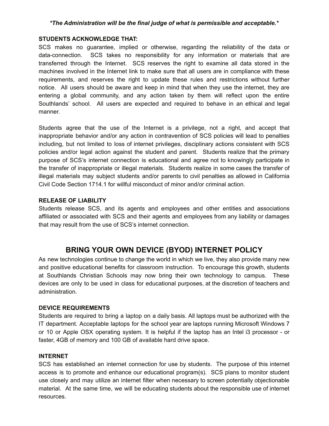## *\*The Administration will be the final judge of what is permissible and acceptable.\**

## **STUDENTS ACKNOWLEDGE THAT:**

SCS makes no guarantee, implied or otherwise, regarding the reliability of the data or data-connection. SCS takes no responsibility for any information or materials that are transferred through the Internet. SCS reserves the right to examine all data stored in the machines involved in the Internet link to make sure that all users are in compliance with these requirements, and reserves the right to update these rules and restrictions without further notice. All users should be aware and keep in mind that when they use the internet, they are entering a global community, and any action taken by them will reflect upon the entire Southlands' school. All users are expected and required to behave in an ethical and legal manner.

Students agree that the use of the Internet is a privilege, not a right, and accept that inappropriate behavior and/or any action in contravention of SCS policies will lead to penalties including, but not limited to loss of internet privileges, disciplinary actions consistent with SCS policies and/or legal action against the student and parent. Students realize that the primary purpose of SCS's internet connection is educational and agree not to knowingly participate in the transfer of inappropriate or illegal materials. Students realize in some cases the transfer of illegal materials may subject students and/or parents to civil penalties as allowed in California Civil Code Section 1714.1 for willful misconduct of minor and/or criminal action.

#### **RELEASE OF LIABILITY**

Students release SCS, and its agents and employees and other entities and associations affiliated or associated with SCS and their agents and employees from any liability or damages that may result from the use of SCS's internet connection.

## **BRING YOUR OWN DEVICE (BYOD) INTERNET POLICY**

As new technologies continue to change the world in which we live, they also provide many new and positive educational benefits for classroom instruction. To encourage this growth, students at Southlands Christian Schools may now bring their own technology to campus. These devices are only to be used in class for educational purposes, at the discretion of teachers and administration.

## **DEVICE REQUIREMENTS**

Students are required to bring a laptop on a daily basis. All laptops must be authorized with the IT department. Acceptable laptops for the school year are laptops running Microsoft Windows 7 or 10 or Apple OSX operating system. It is helpful if the laptop has an Intel i3 processor - or faster, 4GB of memory and 100 GB of available hard drive space.

## **INTERNET**

SCS has established an internet connection for use by students. The purpose of this internet access is to promote and enhance our educational program(s). SCS plans to monitor student use closely and may utilize an internet filter when necessary to screen potentially objectionable material. At the same time, we will be educating students about the responsible use of internet resources.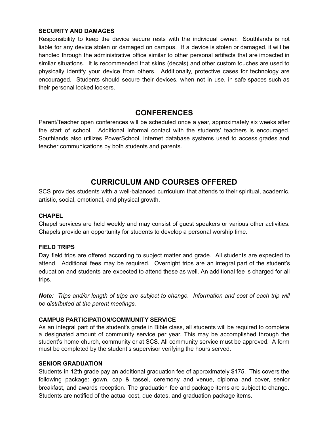#### **SECURITY AND DAMAGES**

Responsibility to keep the device secure rests with the individual owner. Southlands is not liable for any device stolen or damaged on campus. If a device is stolen or damaged, it will be handled through the administrative office similar to other personal artifacts that are impacted in similar situations. It is recommended that skins (decals) and other custom touches are used to physically identify your device from others. Additionally, protective cases for technology are encouraged. Students should secure their devices, when not in use, in safe spaces such as their personal locked lockers.

## **CONFERENCES**

Parent/Teacher open conferences will be scheduled once a year, approximately six weeks after the start of school. Additional informal contact with the students' teachers is encouraged. Southlands also utilizes PowerSchool, internet database systems used to access grades and teacher communications by both students and parents.

## **CURRICULUM AND COURSES OFFERED**

SCS provides students with a well-balanced curriculum that attends to their spiritual, academic, artistic, social, emotional, and physical growth.

## **CHAPEL**

Chapel services are held weekly and may consist of guest speakers or various other activities. Chapels provide an opportunity for students to develop a personal worship time.

## **FIELD TRIPS**

Day field trips are offered according to subject matter and grade. All students are expected to attend. Additional fees may be required. Overnight trips are an integral part of the student's education and students are expected to attend these as well. An additional fee is charged for all trips.

*Note: Trips and/or length of trips are subject to change. Information and cost of each trip will be distributed at the parent meetings.*

## **CAMPUS PARTICIPATION/COMMUNITY SERVICE**

As an integral part of the student's grade in Bible class, all students will be required to complete a designated amount of community service per year. This may be accomplished through the student's home church, community or at SCS. All community service must be approved. A form must be completed by the student's supervisor verifying the hours served.

#### **SENIOR GRADUATION**

Students in 12th grade pay an additional graduation fee of approximately \$175. This covers the following package: gown, cap & tassel, ceremony and venue, diploma and cover, senior breakfast, and awards reception. The graduation fee and package items are subject to change. Students are notified of the actual cost, due dates, and graduation package items.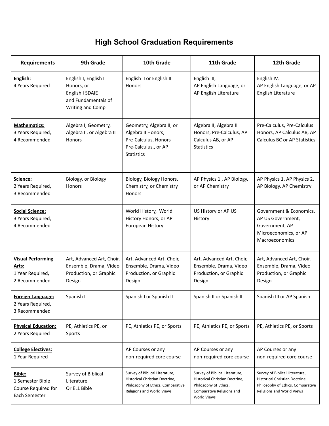# **High School Graduation Requirements**

| <b>Requirements</b>                                                    | 9th Grade                                                                                        | 10th Grade                                                                                                                         | 11th Grade                                                                                                                            | 12th Grade                                                                                                                         |
|------------------------------------------------------------------------|--------------------------------------------------------------------------------------------------|------------------------------------------------------------------------------------------------------------------------------------|---------------------------------------------------------------------------------------------------------------------------------------|------------------------------------------------------------------------------------------------------------------------------------|
| English:<br>4 Years Required                                           | English I, English I<br>Honors, or<br>English I SDAIE<br>and Fundamentals of<br>Writing and Comp | English II or English II<br>Honors                                                                                                 | English III,<br>AP English Language, or<br>AP English Literature                                                                      | English IV,<br>AP English Language, or AP<br>English Literature                                                                    |
| Mathematics:<br>3 Years Required,<br>4 Recommended                     | Algebra I, Geometry,<br>Algebra II, or Algebra II<br>Honors                                      | Geometry, Algebra II, or<br>Algebra II Honors,<br>Pre-Calculus, Honors<br>Pre-Calculus,, or AP<br><b>Statistics</b>                | Algebra II, Algebra II<br>Honors, Pre-Calculus, AP<br>Calculus AB, or AP<br><b>Statistics</b>                                         | Pre-Calculus, Pre-Calculus<br>Honors, AP Calculus AB, AP<br><b>Calculus BC or AP Statistics</b>                                    |
| Science:<br>2 Years Required,<br>3 Recommended                         | Biology, or Biology<br><b>Honors</b>                                                             | Biology, Biology Honors,<br>Chemistry, or Chemistry<br><b>Honors</b>                                                               | AP Physics 1, AP Biology,<br>or AP Chemistry                                                                                          | AP Physics 1, AP Physics 2,<br>AP Biology, AP Chemistry                                                                            |
| <b>Social Science:</b><br>3 Years Required,<br>4 Recommended           |                                                                                                  | World History, World<br>History Honors, or AP<br>European History                                                                  | US History or AP US<br>History                                                                                                        | Government & Economics,<br>AP US Government,<br>Government, AP<br>Microeconomics, or AP<br><b>Macroeconomics</b>                   |
| <b>Visual Performing</b><br>Arts:<br>1 Year Required,<br>2 Recommended | Art, Advanced Art, Choir,<br>Ensemble, Drama, Video<br>Production, or Graphic<br>Design          | Art, Advanced Art, Choir,<br>Ensemble, Drama, Video<br>Production, or Graphic<br>Design                                            | Art, Advanced Art, Choir,<br>Ensemble, Drama, Video<br>Production, or Graphic<br>Design                                               | Art, Advanced Art, Choir,<br>Ensemble, Drama, Video<br>Production, or Graphic<br>Design                                            |
| Foreign Language:<br>2 Years Required,<br>3 Recommended                | Spanish I                                                                                        | Spanish I or Spanish II                                                                                                            | Spanish II or Spanish III                                                                                                             | Spanish III or AP Spanish                                                                                                          |
| <b>Physical Education:</b><br>2 Years Required                         | PE, Athletics PE, or<br>Sports                                                                   | PE, Athletics PE, or Sports                                                                                                        | PE, Athletics PE, or Sports                                                                                                           | PE, Athletics PE, or Sports                                                                                                        |
| <b>College Electives:</b><br>1 Year Required                           |                                                                                                  | AP Courses or any<br>non-required core course                                                                                      | AP Courses or any<br>non-required core course                                                                                         | AP Courses or any<br>non-required core course                                                                                      |
| Bible:<br>1 Semester Bible<br>Course Required for<br>Each Semester     | Survey of Biblical<br>Literature<br>Or ELL Bible                                                 | Survey of Biblical Literature,<br>Historical Christian Doctrine,<br>Philosophy of Ethics, Comparative<br>Religions and World Views | Survey of Biblical Literature,<br>Historical Christian Doctrine,<br>Philosophy of Ethics,<br>Comparative Religions and<br>World Views | Survey of Biblical Literature,<br>Historical Christian Doctrine,<br>Philosophy of Ethics, Comparative<br>Religions and World Views |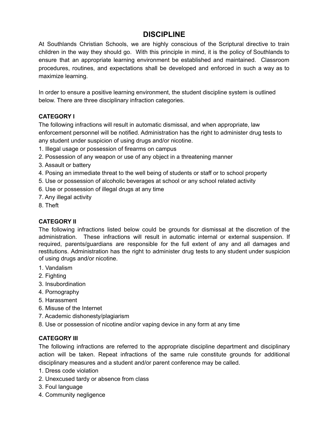# **DISCIPLINE**

At Southlands Christian Schools, we are highly conscious of the Scriptural directive to train children in the way they should go. With this principle in mind, it is the policy of Southlands to ensure that an appropriate learning environment be established and maintained. Classroom procedures, routines, and expectations shall be developed and enforced in such a way as to maximize learning.

In order to ensure a positive learning environment, the student discipline system is outlined below. There are three disciplinary infraction categories.

## **CATEGORY I**

The following infractions will result in automatic dismissal, and when appropriate, law enforcement personnel will be notified. Administration has the right to administer drug tests to any student under suspicion of using drugs and/or nicotine.

- 1. Illegal usage or possession of firearms on campus
- 2. Possession of any weapon or use of any object in a threatening manner
- 3. Assault or battery
- 4. Posing an immediate threat to the well being of students or staff or to school property
- 5. Use or possession of alcoholic beverages at school or any school related activity
- 6. Use or possession of illegal drugs at any time
- 7. Any illegal activity
- 8. Theft

## **CATEGORY II**

The following infractions listed below could be grounds for dismissal at the discretion of the administration. These infractions will result in automatic internal or external suspension. If required, parents/guardians are responsible for the full extent of any and all damages and restitutions. Administration has the right to administer drug tests to any student under suspicion of using drugs and/or nicotine.

- 1. Vandalism
- 2. Fighting
- 3. Insubordination
- 4. Pornography
- 5. Harassment
- 6. Misuse of the Internet
- 7. Academic dishonesty/plagiarism
- 8. Use or possession of nicotine and/or vaping device in any form at any time

## **CATEGORY III**

The following infractions are referred to the appropriate discipline department and disciplinary action will be taken. Repeat infractions of the same rule constitute grounds for additional disciplinary measures and a student and/or parent conference may be called.

- 1. Dress code violation
- 2. Unexcused tardy or absence from class
- 3. Foul language
- 4. Community negligence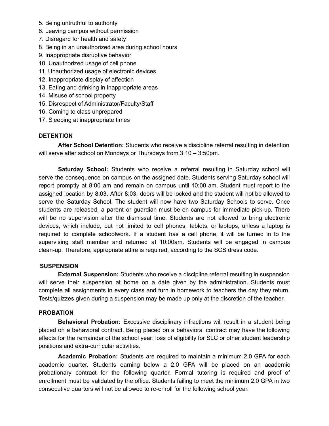- 5. Being untruthful to authority
- 6. Leaving campus without permission
- 7. Disregard for health and safety
- 8. Being in an unauthorized area during school hours
- 9. Inappropriate disruptive behavior
- 10. Unauthorized usage of cell phone
- 11. Unauthorized usage of electronic devices
- 12. Inappropriate display of affection
- 13. Eating and drinking in inappropriate areas
- 14. Misuse of school property
- 15. Disrespect of Administrator/Faculty/Staff
- 16. Coming to class unprepared
- 17. Sleeping at inappropriate times

#### **DETENTION**

**After School Detention:** Students who receive a discipline referral resulting in detention will serve after school on Mondays or Thursdays from 3:10 – 3:50pm.

**Saturday School:** Students who receive a referral resulting in Saturday school will serve the consequence on campus on the assigned date. Students serving Saturday school will report promptly at 8:00 am and remain on campus until 10:00 am. Student must report to the assigned location by 8:03. After 8:03, doors will be locked and the student will not be allowed to serve the Saturday School. The student will now have two Saturday Schools to serve. Once students are released, a parent or guardian must be on campus for immediate pick-up. There will be no supervision after the dismissal time. Students are not allowed to bring electronic devices, which include, but not limited to cell phones, tablets, or laptops, unless a laptop is required to complete schoolwork. If a student has a cell phone, it will be turned in to the supervising staff member and returned at 10:00am. Students will be engaged in campus clean-up. Therefore, appropriate attire is required, according to the SCS dress code.

## **SUSPENSION**

**External Suspension:** Students who receive a discipline referral resulting in suspension will serve their suspension at home on a date given by the administration. Students must complete all assignments in every class and turn in homework to teachers the day they return. Tests/quizzes given during a suspension may be made up only at the discretion of the teacher.

#### **PROBATION**

**Behavioral Probation:** Excessive disciplinary infractions will result in a student being placed on a behavioral contract. Being placed on a behavioral contract may have the following effects for the remainder of the school year: loss of eligibility for SLC or other student leadership positions and extra-curricular activities.

**Academic Probation:** Students are required to maintain a minimum 2.0 GPA for each academic quarter. Students earning below a 2.0 GPA will be placed on an academic probationary contract for the following quarter. Formal tutoring is required and proof of enrollment must be validated by the office. Students failing to meet the minimum 2.0 GPA in two consecutive quarters will not be allowed to re-enroll for the following school year.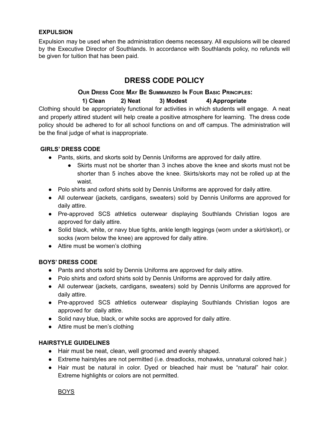## **EXPULSION**

Expulsion may be used when the administration deems necessary. All expulsions will be cleared by the Executive Director of Southlands. In accordance with Southlands policy, no refunds will be given for tuition that has been paid.

# **DRESS CODE POLICY**

## **OUR DRESS CODE MAY BE SUMMARIZED IN FOUR BASIC PRINCIPLES:**

**1) Clean 2) Neat 3) Modest 4) Appropriate**

Clothing should be appropriately functional for activities in which students will engage. A neat and properly attired student will help create a positive atmosphere for learning. The dress code policy should be adhered to for all school functions on and off campus. The administration will be the final judge of what is inappropriate.

## **GIRLS' DRESS CODE**

- Pants, skirts, and skorts sold by Dennis Uniforms are approved for daily attire.
	- Skirts must not be shorter than 3 inches above the knee and skorts must not be shorter than 5 inches above the knee. Skirts/skorts may not be rolled up at the waist.
- Polo shirts and oxford shirts sold by Dennis Uniforms are approved for daily attire.
- All outerwear (jackets, cardigans, sweaters) sold by Dennis Uniforms are approved for daily attire.
- Pre-approved SCS athletics outerwear displaying Southlands Christian logos are approved for daily attire.
- Solid black, white, or navy blue tights, ankle length leggings (worn under a skirt/skort), or socks (worn below the knee) are approved for daily attire.
- Attire must be women's clothing

## **BOYS' DRESS CODE**

- Pants and shorts sold by Dennis Uniforms are approved for daily attire.
- Polo shirts and oxford shirts sold by Dennis Uniforms are approved for daily attire.
- All outerwear (jackets, cardigans, sweaters) sold by Dennis Uniforms are approved for daily attire.
- Pre-approved SCS athletics outerwear displaying Southlands Christian logos are approved for daily attire.
- Solid navy blue, black, or white socks are approved for daily attire.
- Attire must be men's clothing

## **HAIRSTYLE GUIDELINES**

- Hair must be neat, clean, well groomed and evenly shaped.
- Extreme hairstyles are not permitted (i.e. dreadlocks, mohawks, unnatural colored hair.)
- Hair must be natural in color. Dyed or bleached hair must be "natural" hair color. Extreme highlights or colors are not permitted.

BOYS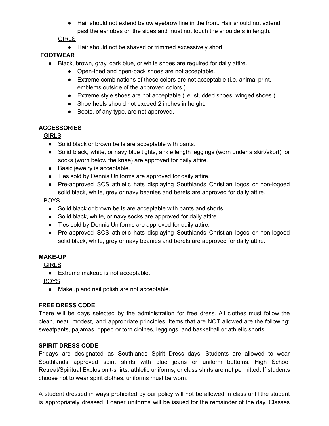● Hair should not extend below eyebrow line in the front. Hair should not extend past the earlobes on the sides and must not touch the shoulders in length.

**GIRLS** 

● Hair should not be shaved or trimmed excessively short.

## **FOOTWEAR**

- Black, brown, gray, dark blue, or white shoes are required for daily attire.
	- Open-toed and open-back shoes are not acceptable.
	- Extreme combinations of these colors are not acceptable (i.e. animal print, emblems outside of the approved colors.)
	- Extreme style shoes are not acceptable (i.e. studded shoes, winged shoes.)
	- Shoe heels should not exceed 2 inches in height.
	- Boots, of any type, are not approved.

## **ACCESSORIES**

GIRLS

- Solid black or brown belts are acceptable with pants.
- Solid black, white, or navy blue tights, ankle length leggings (worn under a skirt/skort), or socks (worn below the knee) are approved for daily attire.
- Basic jewelry is acceptable.
- Ties sold by Dennis Uniforms are approved for daily attire.
- Pre-approved SCS athletic hats displaying Southlands Christian logos or non-logoed solid black, white, grey or navy beanies and berets are approved for daily attire.

**BOYS** 

- Solid black or brown belts are acceptable with pants and shorts.
- Solid black, white, or navy socks are approved for daily attire.
- Ties sold by Dennis Uniforms are approved for daily attire.
- Pre-approved SCS athletic hats displaying Southlands Christian logos or non-logoed solid black, white, grey or navy beanies and berets are approved for daily attire.

## **MAKE-UP**

**GIRLS** 

● Extreme makeup is not acceptable.

BOYS

● Makeup and nail polish are not acceptable.

## **FREE DRESS CODE**

There will be days selected by the administration for free dress. All clothes must follow the clean, neat, modest, and appropriate principles. Items that are NOT allowed are the following: sweatpants, pajamas, ripped or torn clothes, leggings, and basketball or athletic shorts.

## **SPIRIT DRESS CODE**

Fridays are designated as Southlands Spirit Dress days. Students are allowed to wear Southlands approved spirit shirts with blue jeans or uniform bottoms. High School Retreat/Spiritual Explosion t-shirts, athletic uniforms, or class shirts are not permitted. If students choose not to wear spirit clothes, uniforms must be worn.

A student dressed in ways prohibited by our policy will not be allowed in class until the student is appropriately dressed. Loaner uniforms will be issued for the remainder of the day. Classes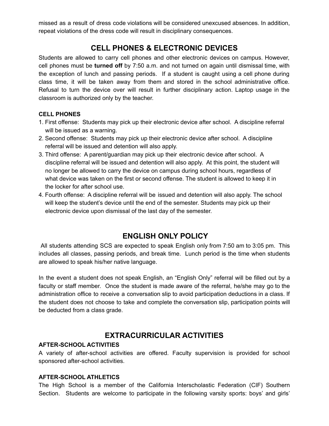missed as a result of dress code violations will be considered unexcused absences. In addition, repeat violations of the dress code will result in disciplinary consequences.

# **CELL PHONES & ELECTRONIC DEVICES**

Students are allowed to carry cell phones and other electronic devices on campus. However, cell phones must be **turned off** by 7:50 a.m. and not turned on again until dismissal time, with the exception of lunch and passing periods. If a student is caught using a cell phone during class time, it will be taken away from them and stored in the school administrative office. Refusal to turn the device over will result in further disciplinary action. Laptop usage in the classroom is authorized only by the teacher.

## **CELL PHONES**

- 1. First offense: Students may pick up their electronic device after school. A discipline referral will be issued as a warning.
- 2. Second offense: Students may pick up their electronic device after school. A discipline referral will be issued and detention will also apply.
- 3. Third offense: A parent/guardian may pick up their electronic device after school. A discipline referral will be issued and detention will also apply. At this point, the student will no longer be allowed to carry the device on campus during school hours, regardless of what device was taken on the first or second offense. The student is allowed to keep it in the locker for after school use.
- 4. Fourth offense: A discipline referral will be issued and detention will also apply. The school will keep the student's device until the end of the semester. Students may pick up their electronic device upon dismissal of the last day of the semester.

# **ENGLISH ONLY POLICY**

All students attending SCS are expected to speak English only from 7:50 am to 3:05 pm. This includes all classes, passing periods, and break time. Lunch period is the time when students are allowed to speak his/her native language.

In the event a student does not speak English, an "English Only" referral will be filled out by a faculty or staff member. Once the student is made aware of the referral, he/she may go to the administration office to receive a conversation slip to avoid participation deductions in a class. If the student does not choose to take and complete the conversation slip, participation points will be deducted from a class grade.

# **EXTRACURRICULAR ACTIVITIES**

## **AFTER-SCHOOL ACTIVITIES**

A variety of after-school activities are offered. Faculty supervision is provided for school sponsored after-school activities.

## **AFTER-SCHOOL ATHLETICS**

The High School is a member of the California Interscholastic Federation (CIF) Southern Section. Students are welcome to participate in the following varsity sports: boys' and girls'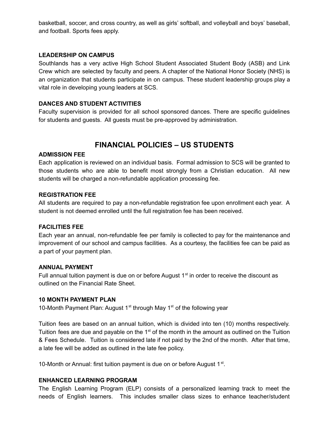basketball, soccer, and cross country, as well as girls' softball, and volleyball and boys' baseball, and football. Sports fees apply.

## **LEADERSHIP ON CAMPUS**

Southlands has a very active High School Student Associated Student Body (ASB) and Link Crew which are selected by faculty and peers. A chapter of the National Honor Society (NHS) is an organization that students participate in on campus. These student leadership groups play a vital role in developing young leaders at SCS.

## **DANCES AND STUDENT ACTIVITIES**

Faculty supervision is provided for all school sponsored dances. There are specific guidelines for students and guests. All guests must be pre-approved by administration.

# **FINANCIAL POLICIES – US STUDENTS**

## **ADMISSION FEE**

Each application is reviewed on an individual basis. Formal admission to SCS will be granted to those students who are able to benefit most strongly from a Christian education. All new students will be charged a non-refundable application processing fee.

## **REGISTRATION FEE**

All students are required to pay a non-refundable registration fee upon enrollment each year. A student is not deemed enrolled until the full registration fee has been received.

## **FACILITIES FEE**

Each year an annual, non-refundable fee per family is collected to pay for the maintenance and improvement of our school and campus facilities. As a courtesy, the facilities fee can be paid as a part of your payment plan.

## **ANNUAL PAYMENT**

Full annual tuition payment is due on or before August  $1<sup>st</sup>$  in order to receive the discount as outlined on the Financial Rate Sheet.

## **10 MONTH PAYMENT PLAN**

10-Month Payment Plan: August  $1<sup>st</sup>$  through May  $1<sup>st</sup>$  of the following year

Tuition fees are based on an annual tuition, which is divided into ten (10) months respectively. Tuition fees are due and payable on the  $1<sup>st</sup>$  of the month in the amount as outlined on the Tuition & Fees Schedule. Tuition is considered late if not paid by the 2nd of the month. After that time, a late fee will be added as outlined in the late fee policy.

10-Month or Annual: first tuition payment is due on or before August 1<sup>st</sup>.

## **ENHANCED LEARNING PROGRAM**

The English Learning Program (ELP) consists of a personalized learning track to meet the needs of English learners. This includes smaller class sizes to enhance teacher/student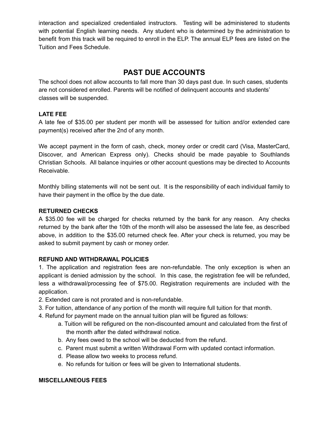interaction and specialized credentialed instructors. Testing will be administered to students with potential English learning needs. Any student who is determined by the administration to benefit from this track will be required to enroll in the ELP. The annual ELP fees are listed on the Tuition and Fees Schedule.

# **PAST DUE ACCOUNTS**

The school does not allow accounts to fall more than 30 days past due. In such cases, students are not considered enrolled. Parents will be notified of delinquent accounts and students' classes will be suspended.

## **LATE FEE**

A late fee of \$35.00 per student per month will be assessed for tuition and/or extended care payment(s) received after the 2nd of any month.

We accept payment in the form of cash, check, money order or credit card (Visa, MasterCard, Discover, and American Express only). Checks should be made payable to Southlands Christian Schools. All balance inquiries or other account questions may be directed to Accounts Receivable.

Monthly billing statements will not be sent out. It is the responsibility of each individual family to have their payment in the office by the due date.

## **RETURNED CHECKS**

A \$35.00 fee will be charged for checks returned by the bank for any reason. Any checks returned by the bank after the 10th of the month will also be assessed the late fee, as described above, in addition to the \$35.00 returned check fee. After your check is returned, you may be asked to submit payment by cash or money order.

## **REFUND AND WITHDRAWAL POLICIES**

1. The application and registration fees are non-refundable. The only exception is when an applicant is denied admission by the school. In this case, the registration fee will be refunded, less a withdrawal/processing fee of \$75.00. Registration requirements are included with the application.

- 2. Extended care is not prorated and is non-refundable.
- 3. For tuition, attendance of any portion of the month will require full tuition for that month.
- 4. Refund for payment made on the annual tuition plan will be figured as follows:
	- a. Tuition will be refigured on the non-discounted amount and calculated from the first of the month after the dated withdrawal notice.
	- b. Any fees owed to the school will be deducted from the refund.
	- c. Parent must submit a written Withdrawal Form with updated contact information.
	- d. Please allow two weeks to process refund.
	- e. No refunds for tuition or fees will be given to International students.

## **MISCELLANEOUS FEES**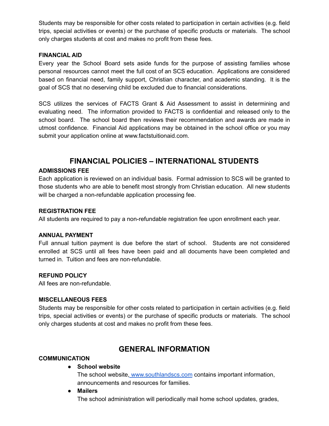Students may be responsible for other costs related to participation in certain activities (e.g. field trips, special activities or events) or the purchase of specific products or materials. The school only charges students at cost and makes no profit from these fees.

## **FINANCIAL AID**

Every year the School Board sets aside funds for the purpose of assisting families whose personal resources cannot meet the full cost of an SCS education. Applications are considered based on financial need, family support, Christian character, and academic standing. It is the goal of SCS that no deserving child be excluded due to financial considerations.

SCS utilizes the services of FACTS Grant & Aid Assessment to assist in determining and evaluating need. The information provided to FACTS is confidential and released only to the school board. The school board then reviews their recommendation and awards are made in utmost confidence. Financial Aid applications may be obtained in the school office or you may submit your application online at www.factstuitionaid.com.

# **FINANCIAL POLICIES – INTERNATIONAL STUDENTS**

## **ADMISSIONS FEE**

Each application is reviewed on an individual basis. Formal admission to SCS will be granted to those students who are able to benefit most strongly from Christian education. All new students will be charged a non-refundable application processing fee.

## **REGISTRATION FEE**

All students are required to pay a non-refundable registration fee upon enrollment each year.

## **ANNUAL PAYMENT**

Full annual tuition payment is due before the start of school. Students are not considered enrolled at SCS until all fees have been paid and all documents have been completed and turned in. Tuition and fees are non-refundable.

## **REFUND POLICY**

All fees are non-refundable.

## **MISCELLANEOUS FEES**

Students may be responsible for other costs related to participation in certain activities (e.g. field trips, special activities or events) or the purchase of specific products or materials. The school only charges students at cost and makes no profit from these fees.

# **GENERAL INFORMATION**

## **COMMUNICATION**

## **● School website**

The school website, www.southlandscs.com contains important information, announcements and resources for families.

## **● Mailers**

The school administration will periodically mail home school updates, grades,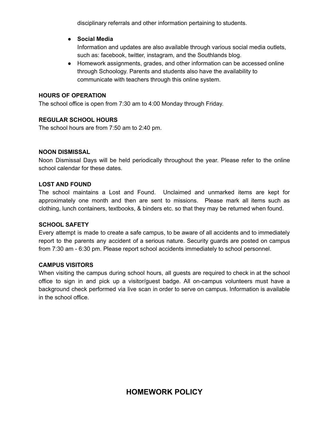disciplinary referrals and other information pertaining to students.

● **Social Media**

Information and updates are also available through various social media outlets, such as: facebook, twitter, instagram, and the Southlands blog.

**●** Homework assignments, grades, and other information can be accessed online through Schoology. Parents and students also have the availability to communicate with teachers through this online system.

## **HOURS OF OPERATION**

The school office is open from 7:30 am to 4:00 Monday through Friday.

## **REGULAR SCHOOL HOURS**

The school hours are from 7:50 am to 2:40 pm.

## **NOON DISMISSAL**

Noon Dismissal Days will be held periodically throughout the year. Please refer to the online school calendar for these dates.

## **LOST AND FOUND**

The school maintains a Lost and Found. Unclaimed and unmarked items are kept for approximately one month and then are sent to missions. Please mark all items such as clothing, lunch containers, textbooks, & binders etc. so that they may be returned when found.

## **SCHOOL SAFETY**

Every attempt is made to create a safe campus, to be aware of all accidents and to immediately report to the parents any accident of a serious nature. Security guards are posted on campus from 7:30 am - 6:30 pm. Please report school accidents immediately to school personnel.

## **CAMPUS VISITORS**

When visiting the campus during school hours, all guests are required to check in at the school office to sign in and pick up a visitor/guest badge. All on-campus volunteers must have a background check performed via live scan in order to serve on campus. Information is available in the school office.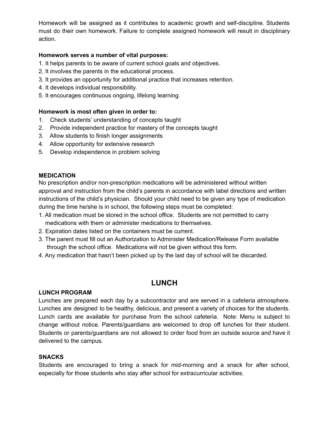Homework will be assigned as it contributes to academic growth and self-discipline. Students must do their own homework. Failure to complete assigned homework will result in disciplinary action.

## **Homework serves a number of vital purposes:**

1. It helps parents to be aware of current school goals and objectives.

- 2. It involves the parents in the educational process.
- 3. It provides an opportunity for additional practice that increases retention.
- 4. It develops individual responsibility.
- 5. It encourages continuous ongoing, lifelong learning.

## **Homework is most often given in order to:**

- 1. Check students' understanding of concepts taught
- 2. Provide independent practice for mastery of the concepts taught
- 3. Allow students to finish longer assignments
- 4. Allow opportunity for extensive research
- 5. Develop independence in problem solving

## **MEDICATION**

No prescription and/or non-prescription medications will be administered without written approval and instruction from the child's parents in accordance with label directions and written instructions of the child's physician. Should your child need to be given any type of medication during the time he/she is in school, the following steps must be completed:

- 1. All medication must be stored in the school office. Students are not permitted to carry medications with them or administer medications to themselves.
- 2. Expiration dates listed on the containers must be current.
- 3. The parent must fill out an Authorization to Administer Medication/Release Form available through the school office. Medications will not be given without this form.
- 4. Any medication that hasn't been picked up by the last day of school will be discarded.

## **LUNCH**

## **LUNCH PROGRAM**

Lunches are prepared each day by a subcontractor and are served in a cafeteria atmosphere. Lunches are designed to be healthy, delicious, and present a variety of choices for the students. Lunch cards are available for purchase from the school cafeteria. Note: Menu is subject to change without notice. Parents/guardians are welcomed to drop off lunches for their student. Students or parents/guardians are not allowed to order food from an outside source and have it delivered to the campus.

## **SNACKS**

Students are encouraged to bring a snack for mid-morning and a snack for after school, especially for those students who stay after school for extracurricular activities.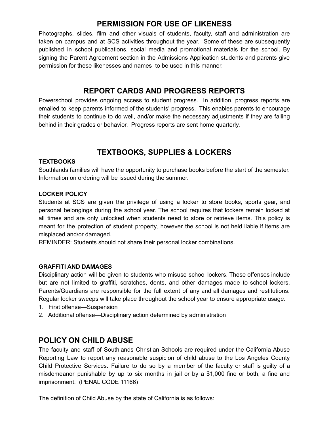# **PERMISSION FOR USE OF LIKENESS**

Photographs, slides, film and other visuals of students, faculty, staff and administration are taken on campus and at SCS activities throughout the year. Some of these are subsequently published in school publications, social media and promotional materials for the school. By signing the Parent Agreement section in the Admissions Application students and parents give permission for these likenesses and names to be used in this manner.

# **REPORT CARDS AND PROGRESS REPORTS**

Powerschool provides ongoing access to student progress. In addition, progress reports are emailed to keep parents informed of the students' progress. This enables parents to encourage their students to continue to do well, and/or make the necessary adjustments if they are falling behind in their grades or behavior. Progress reports are sent home quarterly.

# **TEXTBOOKS, SUPPLIES & LOCKERS**

## **TEXTBOOKS**

Southlands families will have the opportunity to purchase books before the start of the semester. Information on ordering will be issued during the summer.

## **LOCKER POLICY**

Students at SCS are given the privilege of using a locker to store books, sports gear, and personal belongings during the school year. The school requires that lockers remain locked at all times and are only unlocked when students need to store or retrieve items. This policy is meant for the protection of student property, however the school is not held liable if items are misplaced and/or damaged.

REMINDER: Students should not share their personal locker combinations.

## **GRAFFITI AND DAMAGES**

Disciplinary action will be given to students who misuse school lockers. These offenses include but are not limited to graffiti, scratches, dents, and other damages made to school lockers. Parents/Guardians are responsible for the full extent of any and all damages and restitutions. Regular locker sweeps will take place throughout the school year to ensure appropriate usage.

- 1. First offense—Suspension
- 2. Additional offense—Disciplinary action determined by administration

# **POLICY ON CHILD ABUSE**

The faculty and staff of Southlands Christian Schools are required under the California Abuse Reporting Law to report any reasonable suspicion of child abuse to the Los Angeles County Child Protective Services. Failure to do so by a member of the faculty or staff is guilty of a misdemeanor punishable by up to six months in jail or by a \$1,000 fine or both, a fine and imprisonment. (PENAL CODE 11166)

The definition of Child Abuse by the state of California is as follows: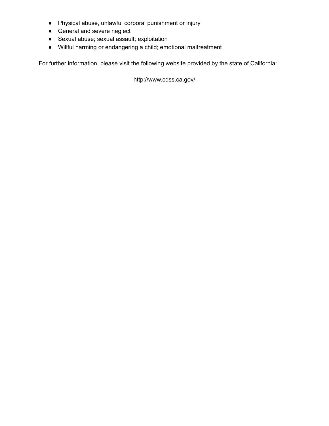- Physical abuse, unlawful corporal punishment or injury
- General and severe neglect
- Sexual abuse; sexual assault; exploitation
- Willful harming or endangering a child; emotional maltreatment

For further information, please visit the following website provided by the state of California:

## http://www.cdss.ca.gov/